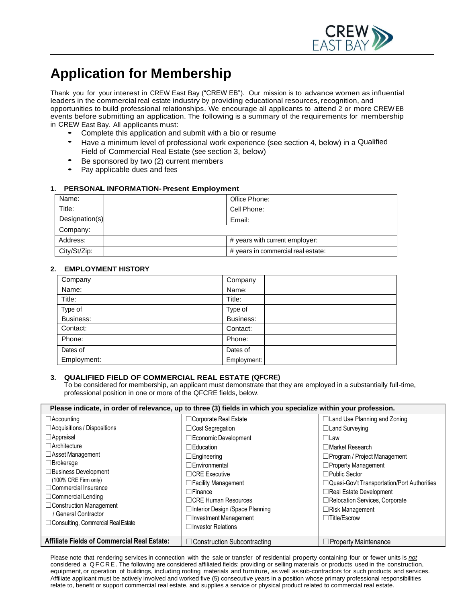

# **Application for Membership**

Thank you for your interest in CREW East Bay ("CREW EB"). Our mission is to advance women as influential leaders in the commercial real estate industry by providing educational resources, recognition, and opportunities to build professional relationships. We encourage all applicants to attend 2 or more CREW EB events before submitting an application. The following is a summary of the requirements for membership in CREW East Bay. All applicants must:

- Complete this application and submit with a bio or resume
- Have a minimum level of professional work experience (see section 4, below) in a Qualified Field of Commercial Real Estate (see section 3, below)
- Be sponsored by two (2) current members
- Pay applicable dues and fees

### **1. PERSONAIL INFORMATION- Present Employment**

| Name:          | Office Phone:                      |
|----------------|------------------------------------|
| Title:         | Cell Phone:                        |
| Designation(s) | Email:                             |
| Company:       |                                    |
| Address:       | # years with current employer:     |
| City/St/Zip:   | # years in commercial real estate: |

#### **2. EMPLOYMENT HISTORY**

| Company     | Company     |
|-------------|-------------|
| Name:       | Name:       |
| Title:      | Title:      |
| Type of     | Type of     |
| Business:   | Business:   |
| Contact:    | Contact:    |
| Phone:      | Phone:      |
| Dates of    | Dates of    |
| Employment: | Employment: |

#### **3. QUALIFIED FIELD OF COMMERCIAL REAL ESTATE (QFCRE)**

To be considered for membership, an applicant must demonstrate that they are employed in a substantially full-time, professional position in one or more of the QFCRE fields, below.

| Please indicate, in order of relevance, up to three (3) fields in which you specialize within your profession. |                                    |                                               |  |  |
|----------------------------------------------------------------------------------------------------------------|------------------------------------|-----------------------------------------------|--|--|
| $\Box$ Accounting                                                                                              | $\Box$ Corporate Real Estate       | $\Box$ Land Use Planning and Zoning           |  |  |
| □ Acquisitions / Dispositions                                                                                  | $\Box$ Cost Segregation            | $\Box$ Land Surveying                         |  |  |
| $\Box$ Appraisal                                                                                               | □Economic Development              | $\Box$ Law                                    |  |  |
| $\Box$ Architecture                                                                                            | $\Box$ Education                   | $\Box$ Market Research                        |  |  |
| □ Asset Management                                                                                             | $\Box$ Engineering                 | $\Box$ Program / Project Management           |  |  |
| $\Box$ Brokerage                                                                                               | □Environmental                     | $\Box$ Property Management                    |  |  |
| $\Box$ Business Development                                                                                    | $\Box$ CRE Executive               | $\Box$ Public Sector                          |  |  |
| (100% CRE Firm only)<br>$\Box$ Commercial Insurance                                                            | $\Box$ Facility Management         | □ Quasi-Gov't Transportation/Port Authorities |  |  |
| $\Box$ Commercial Lending                                                                                      | $\Box$ Finance                     | $\Box$ Real Estate Development                |  |  |
| $\Box$ Construction Management                                                                                 | □ CRE Human Resources              | □Relocation Services, Corporate               |  |  |
| / General Contractor                                                                                           | □Interior Design /Space Planning   | $\Box$ Risk Management                        |  |  |
| $\Box$ Consulting, Commercial Real Estate                                                                      | $\Box$ Investment Management       | $\Box$ Title/Escrow                           |  |  |
|                                                                                                                | $\Box$ Investor Relations          |                                               |  |  |
| <b>Affiliate Fields of Commercial Real Estate:</b>                                                             | $\Box$ Construction Subcontracting | $\Box$ Property Maintenance                   |  |  |

Please note that rendering services in connection with the sale or transfer of residential property containing four or fewer units is *not* considered a QF C R E. The following are considered affiliated fields: providing or selling materials or products used in the construction, equipment, or operation of buildings, including roofing materials and furniture, as well as sub-contractors for such products and services. Affiliate applicant must be actively involved and worked five (5) consecutive years in a position whose primary professional responsibilities relate to, benefit or support commercial real estate, and supplies a service or physical product related to commercial real estate.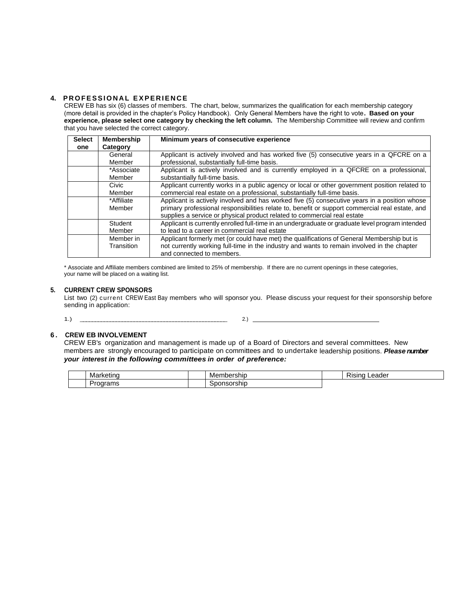## **4. PROFESSIONAL EXPERIENCE**

CREW EB has six (6) classes of members. The chart, below, summarizes the qualification for each membership category (more detail is provided in the chapter's Policy Handbook). Only General Members have the right to vote**. Based on your experience, please select one category by checking the left column.** The Membership Committee will review and confirm that you have selected the correct category.

| <b>Select</b> | <b>Membership</b> | Minimum years of consecutive experience                                                          |
|---------------|-------------------|--------------------------------------------------------------------------------------------------|
| one           | Category          |                                                                                                  |
|               | General           | Applicant is actively involved and has worked five (5) consecutive years in a QFCRE on a         |
|               | Member            | professional, substantially full-time basis.                                                     |
|               | *Associate        | Applicant is actively involved and is currently employed in a QFCRE on a professional,           |
|               | Member            | substantially full-time basis.                                                                   |
|               | Civic             | Applicant currently works in a public agency or local or other government position related to    |
|               | Member            | commercial real estate on a professional, substantially full-time basis.                         |
|               | *Affiliate        | Applicant is actively involved and has worked five (5) consecutive years in a position whose     |
|               | Member            | primary professional responsibilities relate to, benefit or support commercial real estate, and  |
|               |                   | supplies a service or physical product related to commercial real estate                         |
|               | Student           | Applicant is currently enrolled full-time in an undergraduate or graduate level program intended |
|               | Member            | to lead to a career in commercial real estate                                                    |
|               | Member in         | Applicant formerly met (or could have met) the qualifications of General Membership but is       |
|               | Transition        | not currently working full-time in the industry and wants to remain involved in the chapter      |
|               |                   | and connected to members.                                                                        |

\* Associate and Affiliate members combined are limited to 25% of membership. If there are no current openings in these categories, your name will be placed on a waiting list.

#### **5. CURRENT CREW SPONSORS**

List two (2) current CREW East Bay members who will sponsor you. Please discuss your request for their sponsorship before sending in application:

1.) \_\_\_\_\_\_\_\_\_\_\_\_\_\_\_\_\_\_\_\_\_\_\_\_\_\_\_\_\_\_\_\_\_\_\_\_\_\_\_\_\_\_\_\_\_\_\_\_\_ 2.)

### **6 . CREW EB INVOLVEMENT**

CREW EB's organization and management is made up of a Board of Directors and several committees. New members are strongly encouraged to participate on committees and to undertake leadership positions. *Please number your interest in the following committees in order of preference:*

| Mar<br>.<br>uno                 | .<br><b>Ner</b><br>noer<br>'SNIL        | $\sim$ .<br>eader<br>Risind |
|---------------------------------|-----------------------------------------|-----------------------------|
| میں<br>nrams<br>allia<br>$\sim$ | anneoreh <sup></sup><br>ırsnır<br>ונומו |                             |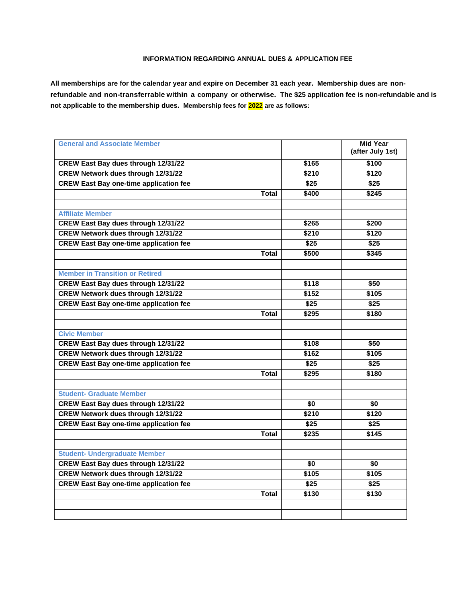## **INFORMATION REGARDING ANNUAL DUES & APPLICATION FEE**

**All memberships are for the calendar year and expire on December 31 each year. Membership dues are nonrefundable and non-transferrable within a company or otherwise. The \$25 application fee is non-refundable and is not applicable to the membership dues. Membership fees for 2022 are as follows:**

| <b>General and Associate Member</b>           |                 | <b>Mid Year</b><br>(after July 1st) |
|-----------------------------------------------|-----------------|-------------------------------------|
|                                               |                 |                                     |
| <b>CREW East Bay dues through 12/31/22</b>    | \$165           | \$100                               |
| <b>CREW Network dues through 12/31/22</b>     | \$210           | \$120                               |
| <b>CREW East Bay one-time application fee</b> | \$25            | \$25                                |
| <b>Total</b>                                  | \$400           | \$245                               |
|                                               |                 |                                     |
| <b>Affiliate Member</b>                       |                 |                                     |
| <b>CREW East Bay dues through 12/31/22</b>    | \$265           | \$200                               |
| <b>CREW Network dues through 12/31/22</b>     | \$210           | \$120                               |
| <b>CREW East Bay one-time application fee</b> | \$25            | \$25                                |
| <b>Total</b>                                  | \$500           | \$345                               |
|                                               |                 |                                     |
| <b>Member in Transition or Retired</b>        |                 |                                     |
| <b>CREW East Bay dues through 12/31/22</b>    | \$118           | \$50                                |
| <b>CREW Network dues through 12/31/22</b>     | \$152           | \$105                               |
| <b>CREW East Bay one-time application fee</b> | \$25            | \$25                                |
| Total                                         | \$295           | \$180                               |
|                                               |                 |                                     |
| <b>Civic Member</b>                           |                 |                                     |
| CREW East Bay dues through 12/31/22           | \$108           | \$50                                |
| <b>CREW Network dues through 12/31/22</b>     | \$162           | \$105                               |
| <b>CREW East Bay one-time application fee</b> | \$25            | \$25                                |
| Total                                         | \$295           | \$180                               |
|                                               |                 |                                     |
| <b>Student- Graduate Member</b>               |                 |                                     |
| <b>CREW East Bay dues through 12/31/22</b>    | \$0             | $\overline{50}$                     |
| <b>CREW Network dues through 12/31/22</b>     | \$210           | \$120                               |
| <b>CREW East Bay one-time application fee</b> | \$25            | \$25                                |
| <b>Total</b>                                  | \$235           | \$145                               |
|                                               |                 |                                     |
| <b>Student- Undergraduate Member</b>          |                 |                                     |
| <b>CREW East Bay dues through 12/31/22</b>    | $\overline{50}$ | $\overline{50}$                     |
| <b>CREW Network dues through 12/31/22</b>     | \$105           | \$105                               |
| <b>CREW East Bay one-time application fee</b> | \$25            | \$25                                |
| <b>Total</b>                                  | \$130           | \$130                               |
|                                               |                 |                                     |
|                                               |                 |                                     |